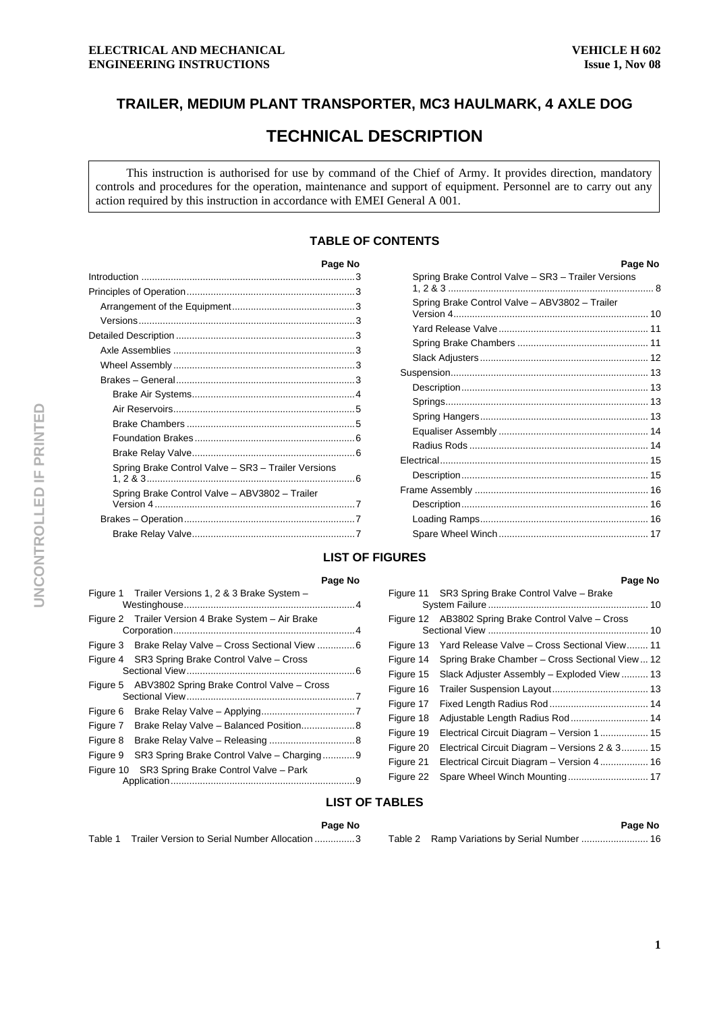# **TRAILER, MEDIUM PLANT TRANSPORTER, MC3 HAULMARK, 4 AXLE DOG**

# **TECHNICAL DESCRIPTION**

This instruction is authorised for use by command of the Chief of Army. It provides direction, mandatory controls and procedures for the operation, maintenance and support of equipment. Personnel are to carry out any action required by this instruction in accordance with EMEI General A 001.

# **TABLE OF CONTENTS**

|                                                     | 1 agu 110 |
|-----------------------------------------------------|-----------|
|                                                     |           |
|                                                     |           |
|                                                     |           |
|                                                     |           |
|                                                     |           |
|                                                     |           |
|                                                     |           |
|                                                     |           |
|                                                     |           |
|                                                     |           |
|                                                     |           |
|                                                     |           |
|                                                     |           |
| Spring Brake Control Valve - SR3 - Trailer Versions |           |
| Spring Brake Control Valve - ABV3802 - Trailer      |           |
|                                                     |           |
|                                                     |           |
|                                                     |           |

| Page No    |                                                     | Page No |
|------------|-----------------------------------------------------|---------|
| 3          | Spring Brake Control Valve - SR3 - Trailer Versions |         |
| 3          |                                                     |         |
| 3          | Spring Brake Control Valve - ABV3802 - Trailer      |         |
| 3          |                                                     |         |
| 3<br>3     |                                                     |         |
|            |                                                     |         |
| . 3        |                                                     |         |
| . 3        |                                                     |         |
| . 4<br>. 5 |                                                     |         |
|            |                                                     |         |
| . 5        |                                                     |         |
| . 6        |                                                     |         |
| . 6        |                                                     |         |
| ons<br>. 6 |                                                     |         |
|            |                                                     |         |
| . 7        |                                                     |         |
| . 7        |                                                     |         |
| . 7        |                                                     |         |
|            |                                                     |         |

#### **LIST OF FIGURES**

|           |                                                     | <b>Faye NO</b> |
|-----------|-----------------------------------------------------|----------------|
|           | Figure 1 Trailer Versions 1, 2 & 3 Brake System -   |                |
|           | Figure 2 Trailer Version 4 Brake System - Air Brake |                |
|           | Figure 3 Brake Relay Valve – Cross Sectional View 6 |                |
|           | Figure 4 SR3 Spring Brake Control Valve - Cross     |                |
|           | Figure 5 ABV3802 Spring Brake Control Valve – Cross |                |
| Figure 6  |                                                     |                |
|           |                                                     |                |
| Figure 8  |                                                     |                |
| Figure 9  | SR3 Spring Brake Control Valve - Charging9          |                |
| Figure 10 | SR3 Spring Brake Control Valve - Park               |                |
|           |                                                     |                |

| Page No |           |                                                     | Page No |
|---------|-----------|-----------------------------------------------------|---------|
| . 4     |           | Figure 11 SR3 Spring Brake Control Valve - Brake    |         |
| . 4     |           | Figure 12 AB3802 Spring Brake Control Valve - Cross |         |
| . 6     | Figure 13 | Yard Release Valve – Cross Sectional View 11        |         |
|         | Figure 14 | Spring Brake Chamber - Cross Sectional View 12      |         |
| . 6     | Figure 15 | Slack Adjuster Assembly - Exploded View  13         |         |
| SS      | Figure 16 |                                                     |         |
| . 7     | Figure 17 |                                                     |         |
| . 7     | Figure 18 |                                                     |         |
| 8       | Figure 19 | Electrical Circuit Diagram - Version 1 15           |         |
| . 8     | Figure 20 | Electrical Circuit Diagram - Versions 2 & 3 15      |         |
| . 9     | Figure 21 | Electrical Circuit Diagram - Version 4 16           |         |
| . 9     | Figure 22 | Spare Wheel Winch Mounting 17                       |         |

# **LIST OF TABLES**

#### Page No **Page No**

Table 1 Trailer Version to Serial Number Allocation ...............3 Table 2 Ramp Variations by Serial Number ......................... 16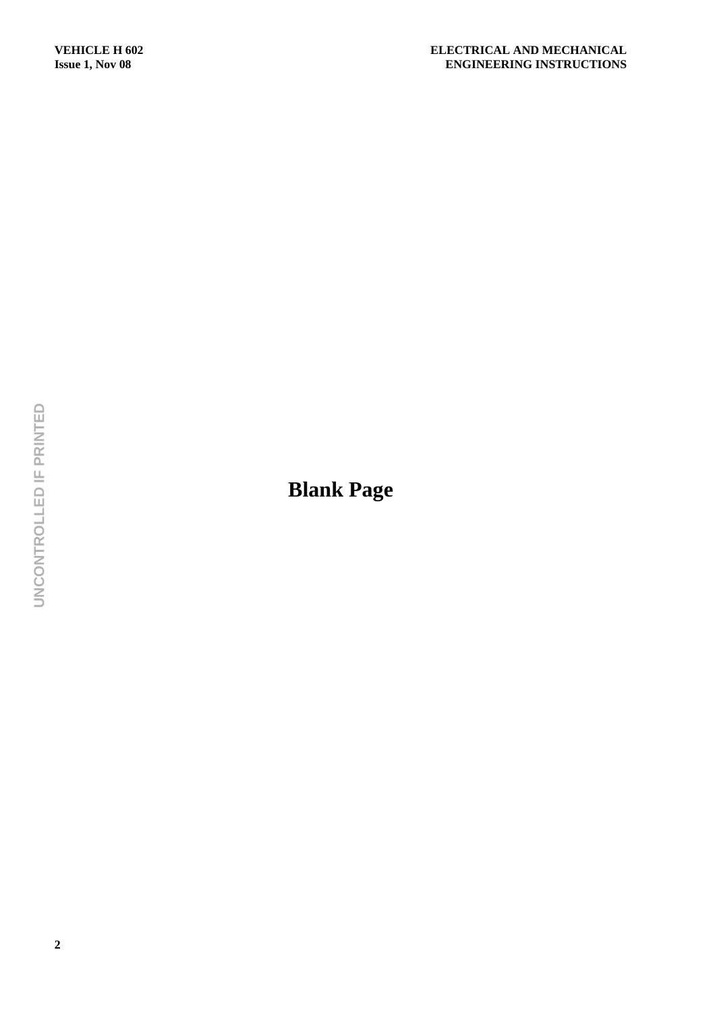# **Blank Page**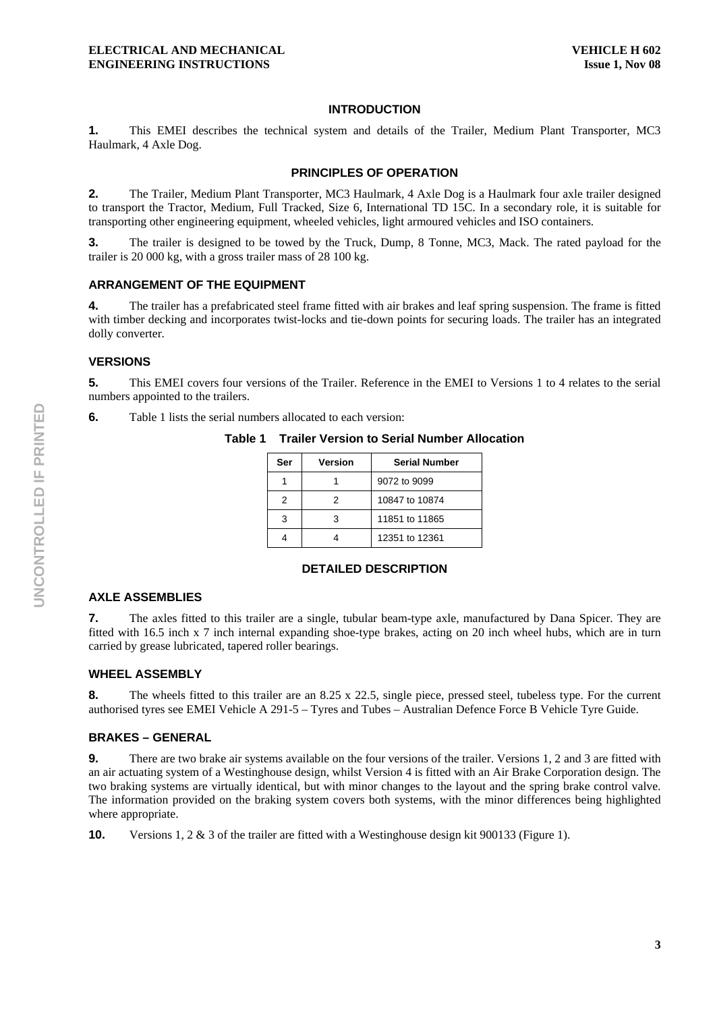#### **INTRODUCTION**

**1.** This EMEI describes the technical system and details of the Trailer, Medium Plant Transporter, MC3 Haulmark, 4 Axle Dog.

#### **PRINCIPLES OF OPERATION**

**2.** The Trailer, Medium Plant Transporter, MC3 Haulmark, 4 Axle Dog is a Haulmark four axle trailer designed to transport the Tractor, Medium, Full Tracked, Size 6, International TD 15C. In a secondary role, it is suitable for transporting other engineering equipment, wheeled vehicles, light armoured vehicles and ISO containers.

**3.** The trailer is designed to be towed by the Truck, Dump, 8 Tonne, MC3, Mack. The rated payload for the trailer is 20 000 kg, with a gross trailer mass of 28 100 kg.

#### **ARRANGEMENT OF THE EQUIPMENT**

**4.** The trailer has a prefabricated steel frame fitted with air brakes and leaf spring suspension. The frame is fitted with timber decking and incorporates twist-locks and tie-down points for securing loads. The trailer has an integrated dolly converter.

# **VERSIONS**

**5.** This EMEI covers four versions of the Trailer. Reference in the EMEI to Versions 1 to 4 relates to the serial numbers appointed to the trailers.

**6.** Table 1 lists the serial numbers allocated to each version:

**Table 1 Trailer Version to Serial Number Allocation** 

| Ser | <b>Version</b> | <b>Serial Number</b> |
|-----|----------------|----------------------|
|     |                | 9072 to 9099         |
| 2   | 2              | 10847 to 10874       |
| 3   | з              | 11851 to 11865       |
|     |                | 12351 to 12361       |

# **DETAILED DESCRIPTION**

#### **AXLE ASSEMBLIES**

**7.** The axles fitted to this trailer are a single, tubular beam-type axle, manufactured by Dana Spicer. They are fitted with 16.5 inch x 7 inch internal expanding shoe-type brakes, acting on 20 inch wheel hubs, which are in turn carried by grease lubricated, tapered roller bearings.

# **WHEEL ASSEMBLY**

**8.** The wheels fitted to this trailer are an 8.25 x 22.5, single piece, pressed steel, tubeless type. For the current authorised tyres see EMEI Vehicle A 291-5 – Tyres and Tubes – Australian Defence Force B Vehicle Tyre Guide.

# **BRAKES – GENERAL**

**9.** There are two brake air systems available on the four versions of the trailer. Versions 1, 2 and 3 are fitted with an air actuating system of a Westinghouse design, whilst Version 4 is fitted with an Air Brake Corporation design. The two braking systems are virtually identical, but with minor changes to the layout and the spring brake control valve. The information provided on the braking system covers both systems, with the minor differences being highlighted where appropriate.

**10.** Versions 1, 2 & 3 of the trailer are fitted with a Westinghouse design kit 900133 (Figure 1).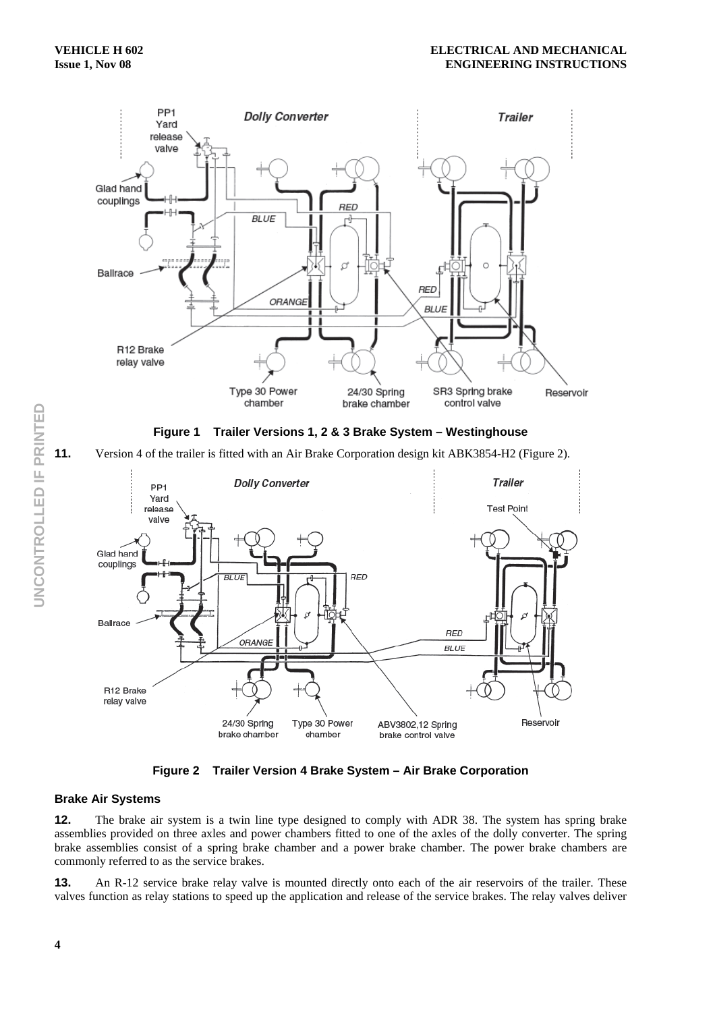

**Figure 1 Trailer Versions 1, 2 & 3 Brake System – Westinghouse** 

**11.** Version 4 of the trailer is fitted with an Air Brake Corporation design kit ABK3854-H2 (Figure 2).



**Figure 2 Trailer Version 4 Brake System – Air Brake Corporation** 

# **Brake Air Systems**

**12.** The brake air system is a twin line type designed to comply with ADR 38. The system has spring brake assemblies provided on three axles and power chambers fitted to one of the axles of the dolly converter. The spring brake assemblies consist of a spring brake chamber and a power brake chamber. The power brake chambers are commonly referred to as the service brakes.

**13.** An R-12 service brake relay valve is mounted directly onto each of the air reservoirs of the trailer. These valves function as relay stations to speed up the application and release of the service brakes. The relay valves deliver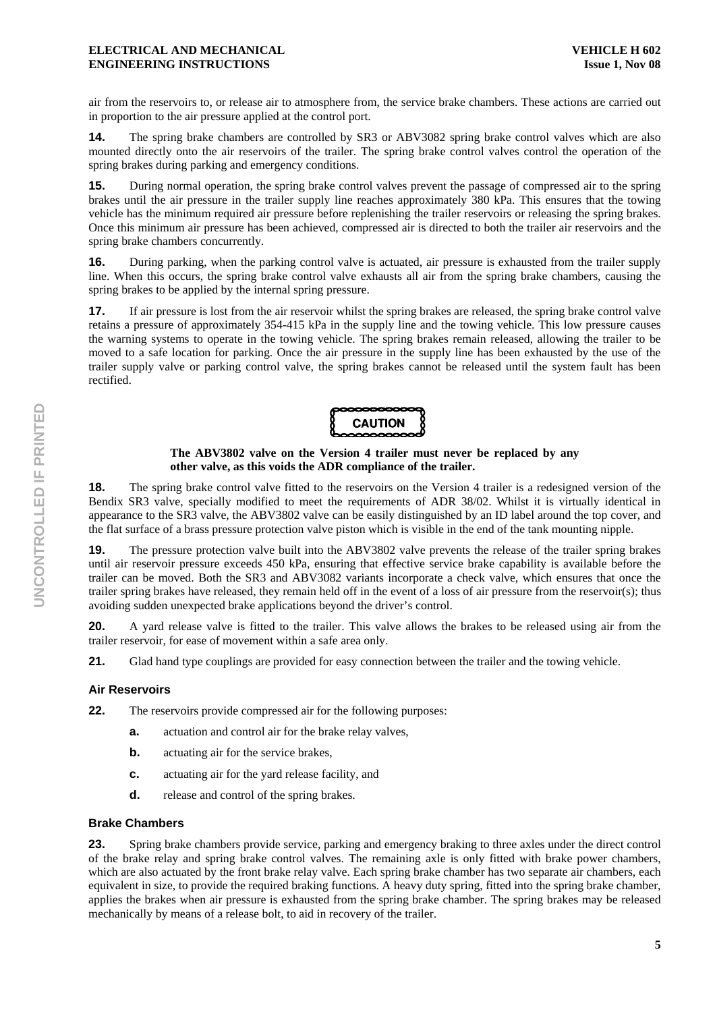#### **ELECTRICAL AND MECHANICAL ENGINEERING INSTRUCTIONS**

air from the reservoirs to, or release air to atmosphere from, the service brake chambers. These actions are carried out in proportion to the air pressure applied at the control port.

**14.** The spring brake chambers are controlled by SR3 or ABV3082 spring brake control valves which are also mounted directly onto the air reservoirs of the trailer. The spring brake control valves control the operation of the spring brakes during parking and emergency conditions.

**15.** During normal operation, the spring brake control valves prevent the passage of compressed air to the spring brakes until the air pressure in the trailer supply line reaches approximately 380 kPa. This ensures that the towing vehicle has the minimum required air pressure before replenishing the trailer reservoirs or releasing the spring brakes. Once this minimum air pressure has been achieved, compressed air is directed to both the trailer air reservoirs and the spring brake chambers concurrently.

**16.** During parking, when the parking control valve is actuated, air pressure is exhausted from the trailer supply line. When this occurs, the spring brake control valve exhausts all air from the spring brake chambers, causing the spring brakes to be applied by the internal spring pressure.

**17.** If air pressure is lost from the air reservoir whilst the spring brakes are released, the spring brake control valve retains a pressure of approximately 354-415 kPa in the supply line and the towing vehicle. This low pressure causes the warning systems to operate in the towing vehicle. The spring brakes remain released, allowing the trailer to be moved to a safe location for parking. Once the air pressure in the supply line has been exhausted by the use of the trailer supply valve or parking control valve, the spring brakes cannot be released until the system fault has been rectified.



#### **The ABV3802 valve on the Version 4 trailer must never be replaced by any other valve, as this voids the ADR compliance of the trailer.**

**18.** The spring brake control valve fitted to the reservoirs on the Version 4 trailer is a redesigned version of the Bendix SR3 valve, specially modified to meet the requirements of ADR 38/02. Whilst it is virtually identical in appearance to the SR3 valve, the ABV3802 valve can be easily distinguished by an ID label around the top cover, and the flat surface of a brass pressure protection valve piston which is visible in the end of the tank mounting nipple.

**19.** The pressure protection valve built into the ABV3802 valve prevents the release of the trailer spring brakes until air reservoir pressure exceeds 450 kPa, ensuring that effective service brake capability is available before the trailer can be moved. Both the SR3 and ABV3082 variants incorporate a check valve, which ensures that once the trailer spring brakes have released, they remain held off in the event of a loss of air pressure from the reservoir(s); thus avoiding sudden unexpected brake applications beyond the driver's control.

**20.** A yard release valve is fitted to the trailer. This valve allows the brakes to be released using air from the trailer reservoir, for ease of movement within a safe area only.

**21.** Glad hand type couplings are provided for easy connection between the trailer and the towing vehicle.

#### **Air Reservoirs**

**22.** The reservoirs provide compressed air for the following purposes:

- **a.** actuation and control air for the brake relay valves,
- **b.** actuating air for the service brakes,
- **c.** actuating air for the yard release facility, and
- **d.** release and control of the spring brakes.

#### **Brake Chambers**

**23.** Spring brake chambers provide service, parking and emergency braking to three axles under the direct control of the brake relay and spring brake control valves. The remaining axle is only fitted with brake power chambers, which are also actuated by the front brake relay valve. Each spring brake chamber has two separate air chambers, each equivalent in size, to provide the required braking functions. A heavy duty spring, fitted into the spring brake chamber, applies the brakes when air pressure is exhausted from the spring brake chamber. The spring brakes may be released mechanically by means of a release bolt, to aid in recovery of the trailer.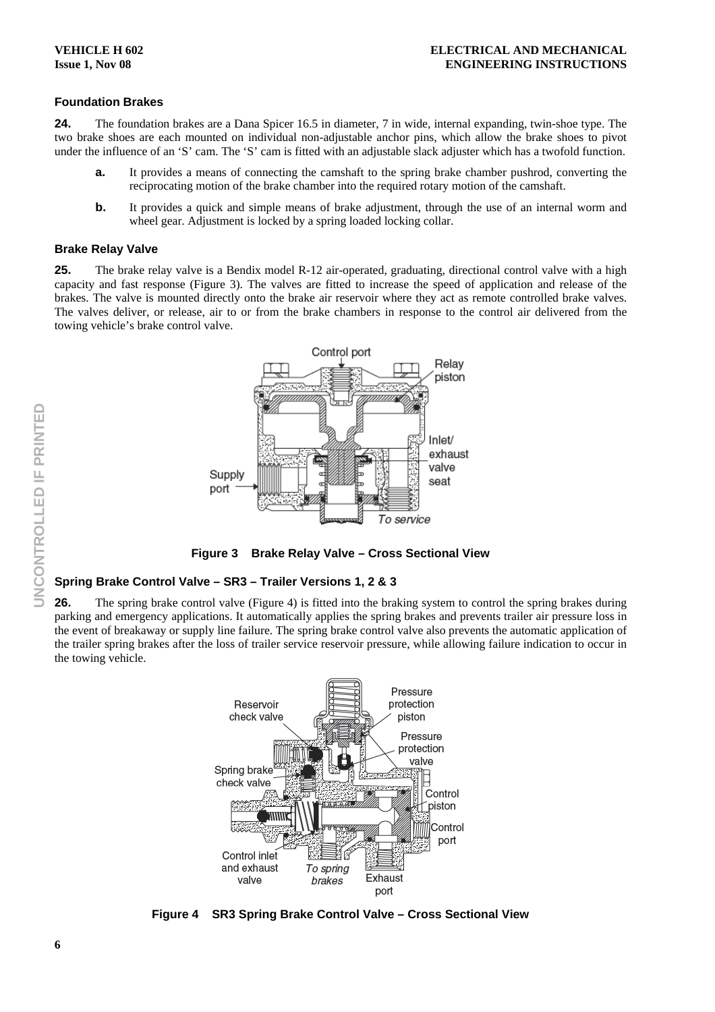#### **Foundation Brakes**

**24.** The foundation brakes are a Dana Spicer 16.5 in diameter, 7 in wide, internal expanding, twin-shoe type. The two brake shoes are each mounted on individual non-adjustable anchor pins, which allow the brake shoes to pivot under the influence of an 'S' cam. The 'S' cam is fitted with an adjustable slack adjuster which has a twofold function.

- **a.** It provides a means of connecting the camshaft to the spring brake chamber pushrod, converting the reciprocating motion of the brake chamber into the required rotary motion of the camshaft.
- **b.** It provides a quick and simple means of brake adjustment, through the use of an internal worm and wheel gear. Adjustment is locked by a spring loaded locking collar.

#### **Brake Relay Valve**

**25.** The brake relay valve is a Bendix model R-12 air-operated, graduating, directional control valve with a high capacity and fast response (Figure 3). The valves are fitted to increase the speed of application and release of the brakes. The valve is mounted directly onto the brake air reservoir where they act as remote controlled brake valves. The valves deliver, or release, air to or from the brake chambers in response to the control air delivered from the towing vehicle's brake control valve.



**Figure 3 Brake Relay Valve – Cross Sectional View** 

# **Spring Brake Control Valve – SR3 – Trailer Versions 1, 2 & 3**

**26.** The spring brake control valve (Figure 4) is fitted into the braking system to control the spring brakes during parking and emergency applications. It automatically applies the spring brakes and prevents trailer air pressure loss in the event of breakaway or supply line failure. The spring brake control valve also prevents the automatic application of the trailer spring brakes after the loss of trailer service reservoir pressure, while allowing failure indication to occur in the towing vehicle.



**Figure 4 SR3 Spring Brake Control Valve – Cross Sectional View**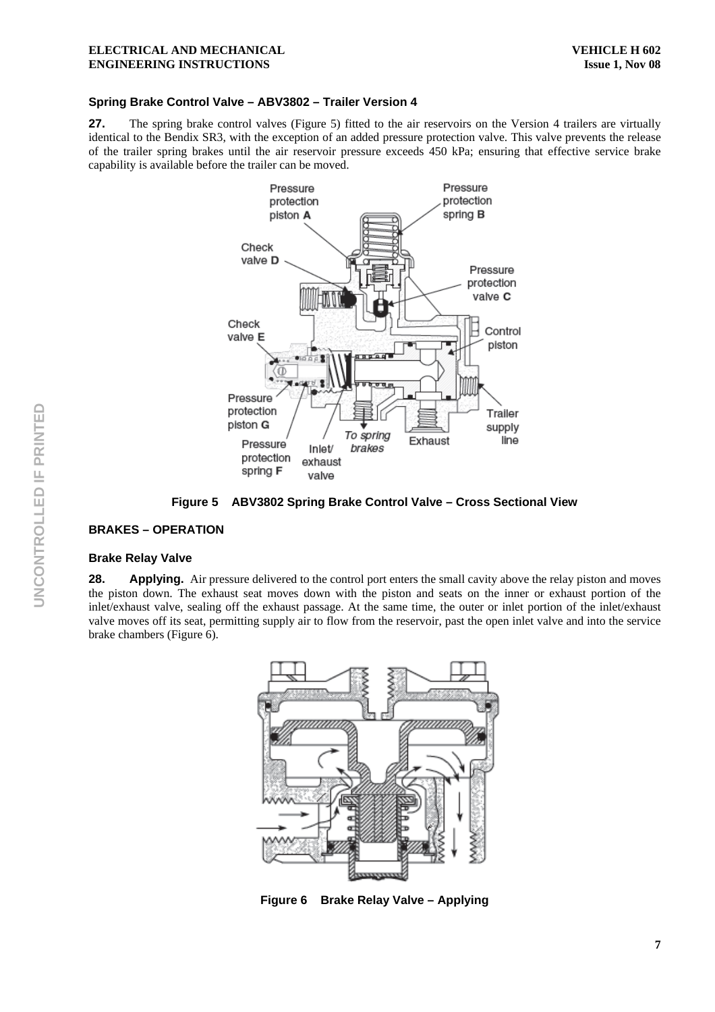#### **Spring Brake Control Valve – ABV3802 – Trailer Version 4**

**27.** The spring brake control valves (Figure 5) fitted to the air reservoirs on the Version 4 trailers are virtually identical to the Bendix SR3, with the exception of an added pressure protection valve. This valve prevents the release of the trailer spring brakes until the air reservoir pressure exceeds 450 kPa; ensuring that effective service brake capability is available before the trailer can be moved.



**Figure 5 ABV3802 Spring Brake Control Valve – Cross Sectional View** 

#### **BRAKES – OPERATION**

#### **Brake Relay Valve**

**28. Applying.** Air pressure delivered to the control port enters the small cavity above the relay piston and moves the piston down. The exhaust seat moves down with the piston and seats on the inner or exhaust portion of the inlet/exhaust valve, sealing off the exhaust passage. At the same time, the outer or inlet portion of the inlet/exhaust valve moves off its seat, permitting supply air to flow from the reservoir, past the open inlet valve and into the service brake chambers (Figure 6).



**Figure 6 Brake Relay Valve – Applying**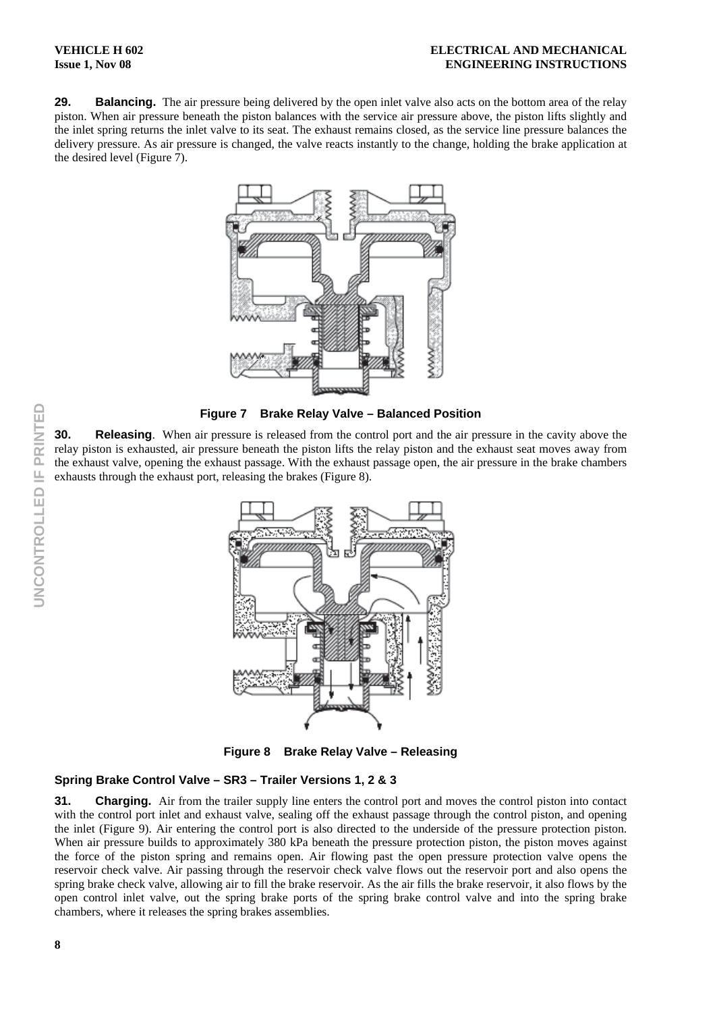#### **VEHICLE H 602 Issue 1, Nov 08**

#### **ELECTRICAL AND MECHANICAL ENGINEERING INSTRUCTIONS**

**29. Balancing.** The air pressure being delivered by the open inlet valve also acts on the bottom area of the relay piston. When air pressure beneath the piston balances with the service air pressure above, the piston lifts slightly and the inlet spring returns the inlet valve to its seat. The exhaust remains closed, as the service line pressure balances the delivery pressure. As air pressure is changed, the valve reacts instantly to the change, holding the brake application at the desired level (Figure 7).



**Figure 7 Brake Relay Valve – Balanced Position** 

**30.** Releasing. When air pressure is released from the control port and the air pressure in the cavity above the relay piston is exhausted, air pressure beneath the piston lifts the relay piston and the exhaust seat moves away from the exhaust valve, opening the exhaust passage. With the exhaust passage open, the air pressure in the brake chambers exhausts through the exhaust port, releasing the brakes (Figure 8).



**Figure 8 Brake Relay Valve – Releasing** 

# **Spring Brake Control Valve – SR3 – Trailer Versions 1, 2 & 3**

**31.** Charging. Air from the trailer supply line enters the control port and moves the control piston into contact with the control port inlet and exhaust valve, sealing off the exhaust passage through the control piston, and opening the inlet (Figure 9). Air entering the control port is also directed to the underside of the pressure protection piston. When air pressure builds to approximately 380 kPa beneath the pressure protection piston, the piston moves against the force of the piston spring and remains open. Air flowing past the open pressure protection valve opens the reservoir check valve. Air passing through the reservoir check valve flows out the reservoir port and also opens the spring brake check valve, allowing air to fill the brake reservoir. As the air fills the brake reservoir, it also flows by the open control inlet valve, out the spring brake ports of the spring brake control valve and into the spring brake chambers, where it releases the spring brakes assemblies.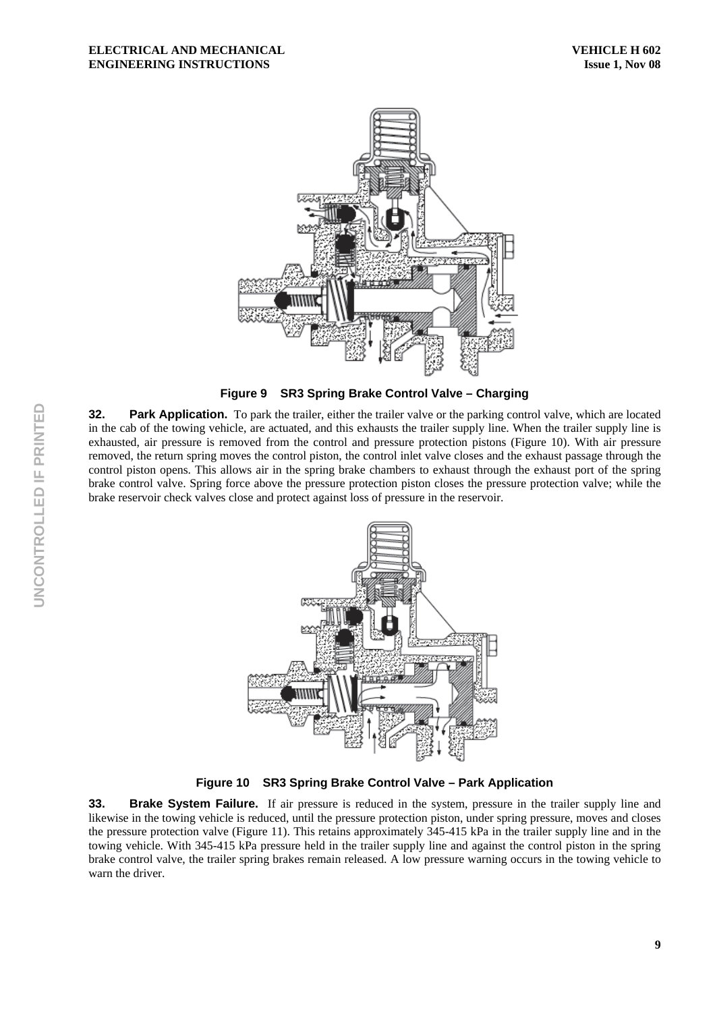

**Figure 9 SR3 Spring Brake Control Valve – Charging** 

**32. Park Application.** To park the trailer, either the trailer valve or the parking control valve, which are located in the cab of the towing vehicle, are actuated, and this exhausts the trailer supply line. When the trailer supply line is exhausted, air pressure is removed from the control and pressure protection pistons (Figure 10). With air pressure removed, the return spring moves the control piston, the control inlet valve closes and the exhaust passage through the control piston opens. This allows air in the spring brake chambers to exhaust through the exhaust port of the spring brake control valve. Spring force above the pressure protection piston closes the pressure protection valve; while the brake reservoir check valves close and protect against loss of pressure in the reservoir.



**Figure 10 SR3 Spring Brake Control Valve – Park Application** 

**33. Brake System Failure.** If air pressure is reduced in the system, pressure in the trailer supply line and likewise in the towing vehicle is reduced, until the pressure protection piston, under spring pressure, moves and closes the pressure protection valve (Figure 11). This retains approximately 345-415 kPa in the trailer supply line and in the towing vehicle. With 345-415 kPa pressure held in the trailer supply line and against the control piston in the spring brake control valve, the trailer spring brakes remain released. A low pressure warning occurs in the towing vehicle to warn the driver.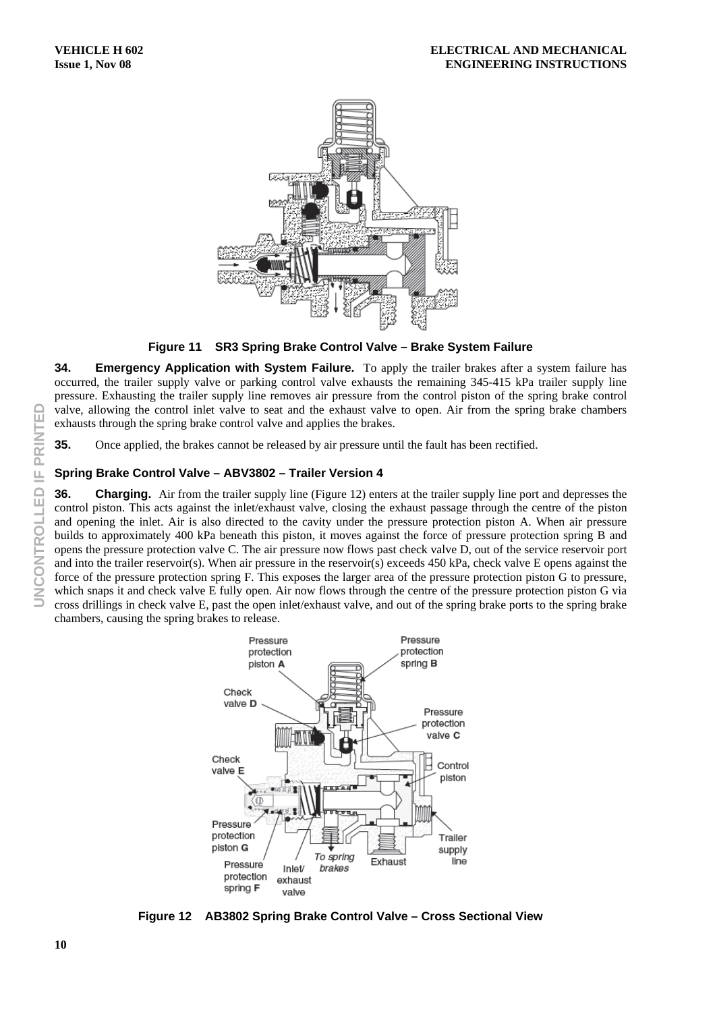

**Figure 11 SR3 Spring Brake Control Valve – Brake System Failure** 

**34. Emergency Application with System Failure.** To apply the trailer brakes after a system failure has occurred, the trailer supply valve or parking control valve exhausts the remaining 345-415 kPa trailer supply line pressure. Exhausting the trailer supply line removes air pressure from the control piston of the spring brake control valve, allowing the control inlet valve to seat and the exhaust valve to open. Air from the spring brake chambers exhausts through the spring brake control valve and applies the brakes.

**35.** Once applied, the brakes cannot be released by air pressure until the fault has been rectified.

# **Spring Brake Control Valve – ABV3802 – Trailer Version 4**

**36.** Charging. Air from the trailer supply line (Figure 12) enters at the trailer supply line port and depresses the control piston. This acts against the inlet/exhaust valve, closing the exhaust passage through the centre of the piston and opening the inlet. Air is also directed to the cavity under the pressure protection piston A. When air pressure builds to approximately 400 kPa beneath this piston, it moves against the force of pressure protection spring B and opens the pressure protection valve C. The air pressure now flows past check valve D, out of the service reservoir port and into the trailer reservoir(s). When air pressure in the reservoir(s) exceeds 450 kPa, check valve E opens against the force of the pressure protection spring F. This exposes the larger area of the pressure protection piston G to pressure, which snaps it and check valve E fully open. Air now flows through the centre of the pressure protection piston G via cross drillings in check valve E, past the open inlet/exhaust valve, and out of the spring brake ports to the spring brake chambers, causing the spring brakes to release.



**Figure 12 AB3802 Spring Brake Control Valve – Cross Sectional View**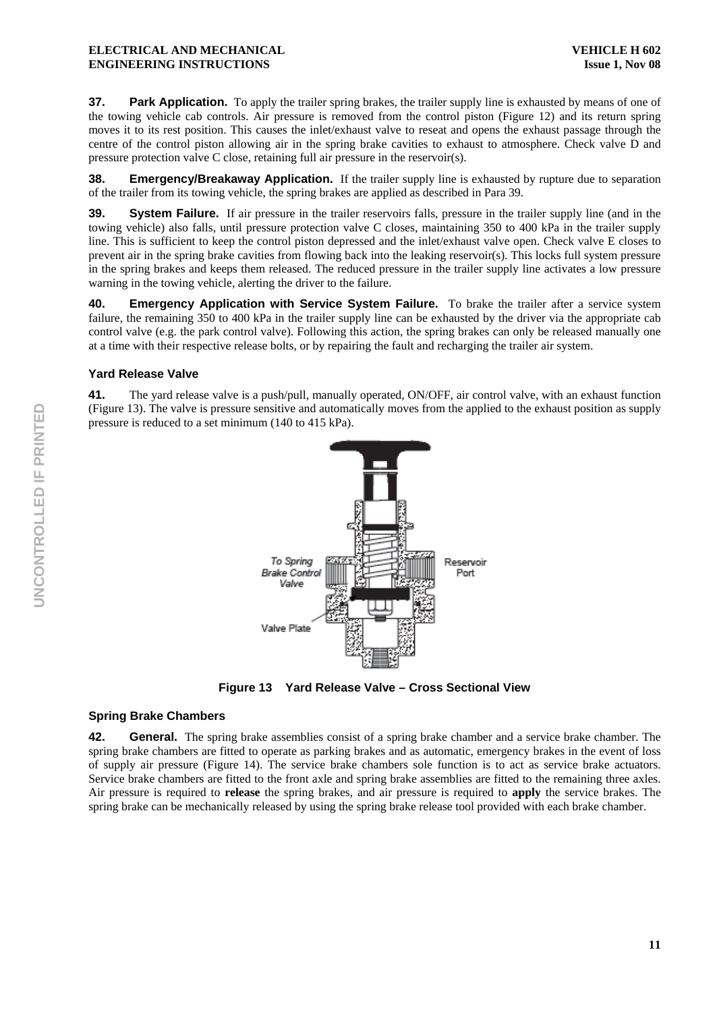#### **ELECTRICAL AND MECHANICAL ENGINEERING INSTRUCTIONS**

**37.** Park Application. To apply the trailer spring brakes, the trailer supply line is exhausted by means of one of the towing vehicle cab controls. Air pressure is removed from the control piston (Figure 12) and its return spring moves it to its rest position. This causes the inlet/exhaust valve to reseat and opens the exhaust passage through the centre of the control piston allowing air in the spring brake cavities to exhaust to atmosphere. Check valve D and pressure protection valve C close, retaining full air pressure in the reservoir(s).

**38. Emergency/Breakaway Application.** If the trailer supply line is exhausted by rupture due to separation of the trailer from its towing vehicle, the spring brakes are applied as described in Para 39.

**39.** System Failure. If air pressure in the trailer reservoirs falls, pressure in the trailer supply line (and in the towing vehicle) also falls, until pressure protection valve C closes, maintaining 350 to 400 kPa in the trailer supply line. This is sufficient to keep the control piston depressed and the inlet/exhaust valve open. Check valve E closes to prevent air in the spring brake cavities from flowing back into the leaking reservoir(s). This locks full system pressure in the spring brakes and keeps them released. The reduced pressure in the trailer supply line activates a low pressure warning in the towing vehicle, alerting the driver to the failure.

**40. Emergency Application with Service System Failure.** To brake the trailer after a service system failure, the remaining 350 to 400 kPa in the trailer supply line can be exhausted by the driver via the appropriate cab control valve (e.g. the park control valve). Following this action, the spring brakes can only be released manually one at a time with their respective release bolts, or by repairing the fault and recharging the trailer air system.

#### **Yard Release Valve**

**41.** The yard release valve is a push/pull, manually operated, ON/OFF, air control valve, with an exhaust function (Figure 13). The valve is pressure sensitive and automatically moves from the applied to the exhaust position as supply pressure is reduced to a set minimum (140 to 415 kPa).



**Figure 13 Yard Release Valve – Cross Sectional View** 

### **Spring Brake Chambers**

**42. General.** The spring brake assemblies consist of a spring brake chamber and a service brake chamber. The spring brake chambers are fitted to operate as parking brakes and as automatic, emergency brakes in the event of loss of supply air pressure (Figure 14). The service brake chambers sole function is to act as service brake actuators. Service brake chambers are fitted to the front axle and spring brake assemblies are fitted to the remaining three axles. Air pressure is required to **release** the spring brakes, and air pressure is required to **apply** the service brakes. The spring brake can be mechanically released by using the spring brake release tool provided with each brake chamber.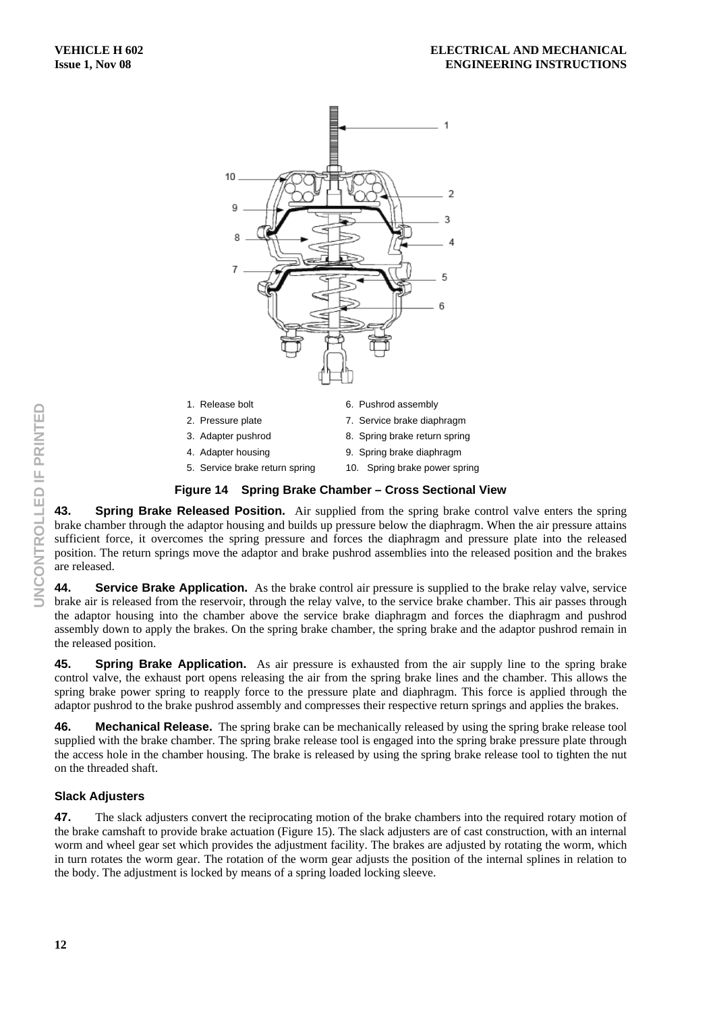

**43. Spring Brake Released Position.** Air supplied from the spring brake control valve enters the spring brake chamber through the adaptor housing and builds up pressure below the diaphragm. When the air pressure attains sufficient force, it overcomes the spring pressure and forces the diaphragm and pressure plate into the released position. The return springs move the adaptor and brake pushrod assemblies into the released position and the brakes are released.

**44.** Service Brake Application. As the brake control air pressure is supplied to the brake relay valve, service brake air is released from the reservoir, through the relay valve, to the service brake chamber. This air passes through the adaptor housing into the chamber above the service brake diaphragm and forces the diaphragm and pushrod assembly down to apply the brakes. On the spring brake chamber, the spring brake and the adaptor pushrod remain in the released position.

**45. Spring Brake Application.** As air pressure is exhausted from the air supply line to the spring brake control valve, the exhaust port opens releasing the air from the spring brake lines and the chamber. This allows the spring brake power spring to reapply force to the pressure plate and diaphragm. This force is applied through the adaptor pushrod to the brake pushrod assembly and compresses their respective return springs and applies the brakes.

**46. Mechanical Release.** The spring brake can be mechanically released by using the spring brake release tool supplied with the brake chamber. The spring brake release tool is engaged into the spring brake pressure plate through the access hole in the chamber housing. The brake is released by using the spring brake release tool to tighten the nut on the threaded shaft.

# **Slack Adjusters**

**47.** The slack adjusters convert the reciprocating motion of the brake chambers into the required rotary motion of the brake camshaft to provide brake actuation (Figure 15). The slack adjusters are of cast construction, with an internal worm and wheel gear set which provides the adjustment facility. The brakes are adjusted by rotating the worm, which in turn rotates the worm gear. The rotation of the worm gear adjusts the position of the internal splines in relation to the body. The adjustment is locked by means of a spring loaded locking sleeve.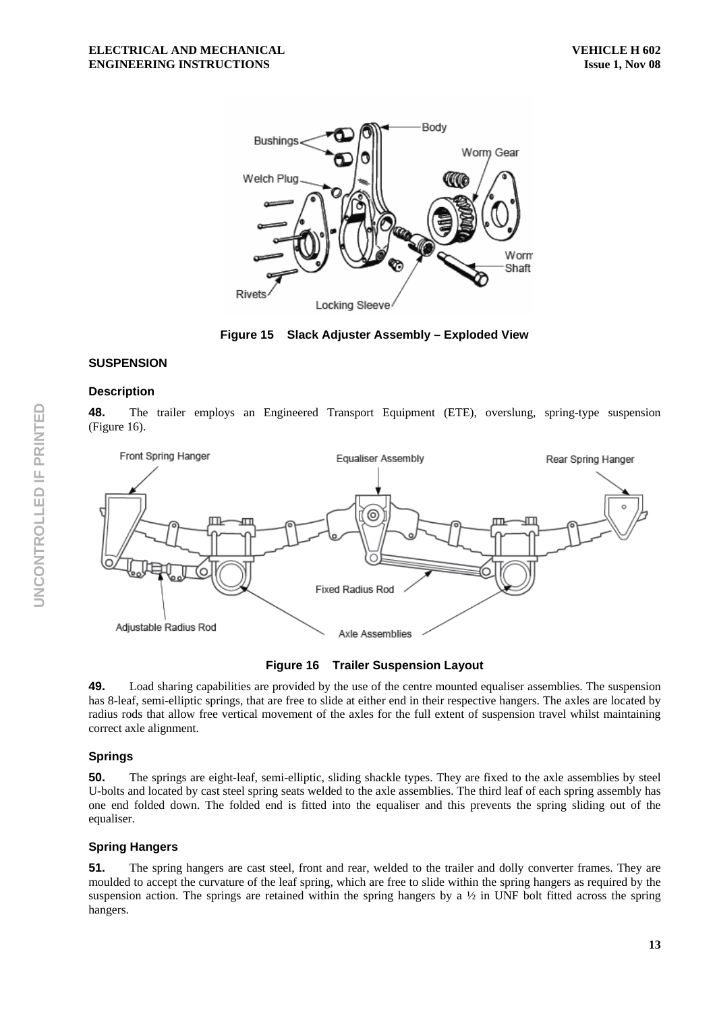

**Figure 15 Slack Adjuster Assembly – Exploded View** 

#### **SUSPENSION**

#### **Description**

**48.** The trailer employs an Engineered Transport Equipment (ETE), overslung, spring-type suspension (Figure 16).



**Figure 16 Trailer Suspension Layout** 

**49.** Load sharing capabilities are provided by the use of the centre mounted equaliser assemblies. The suspension has 8-leaf, semi-elliptic springs, that are free to slide at either end in their respective hangers. The axles are located by radius rods that allow free vertical movement of the axles for the full extent of suspension travel whilst maintaining correct axle alignment.

#### **Springs**

**50.** The springs are eight-leaf, semi-elliptic, sliding shackle types. They are fixed to the axle assemblies by steel U-bolts and located by cast steel spring seats welded to the axle assemblies. The third leaf of each spring assembly has one end folded down. The folded end is fitted into the equaliser and this prevents the spring sliding out of the equaliser.

#### **Spring Hangers**

**51.** The spring hangers are cast steel, front and rear, welded to the trailer and dolly converter frames. They are moulded to accept the curvature of the leaf spring, which are free to slide within the spring hangers as required by the suspension action. The springs are retained within the spring hangers by a  $\frac{1}{2}$  in UNF bolt fitted across the spring hangers.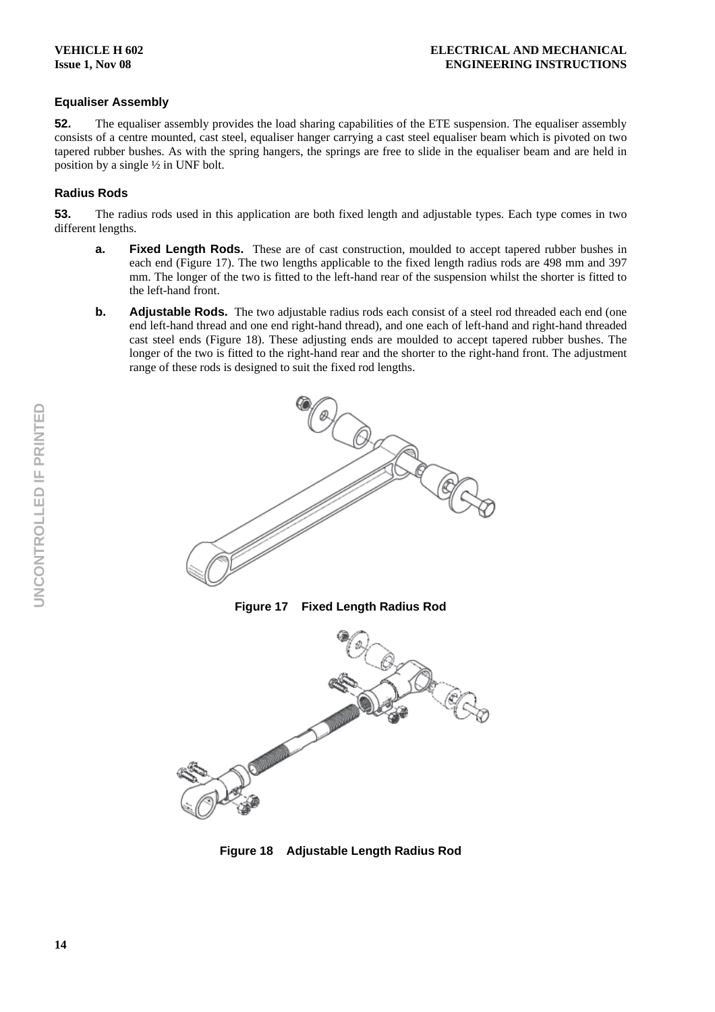# **Equaliser Assembly**

**52.** The equaliser assembly provides the load sharing capabilities of the ETE suspension. The equaliser assembly consists of a centre mounted, cast steel, equaliser hanger carrying a cast steel equaliser beam which is pivoted on two tapered rubber bushes. As with the spring hangers, the springs are free to slide in the equaliser beam and are held in position by a single ½ in UNF bolt.

# **Radius Rods**

**53.** The radius rods used in this application are both fixed length and adjustable types. Each type comes in two different lengths.

- **a.** Fixed Length Rods. These are of cast construction, moulded to accept tapered rubber bushes in each end (Figure 17). The two lengths applicable to the fixed length radius rods are 498 mm and 397 mm. The longer of the two is fitted to the left-hand rear of the suspension whilst the shorter is fitted to the left-hand front.
- **b.** Adjustable Rods. The two adjustable radius rods each consist of a steel rod threaded each end (one end left-hand thread and one end right-hand thread), and one each of left-hand and right-hand threaded cast steel ends (Figure 18). These adjusting ends are moulded to accept tapered rubber bushes. The longer of the two is fitted to the right-hand rear and the shorter to the right-hand front. The adjustment range of these rods is designed to suit the fixed rod lengths.



**Figure 17 Fixed Length Radius Rod** 



**Figure 18 Adjustable Length Radius Rod**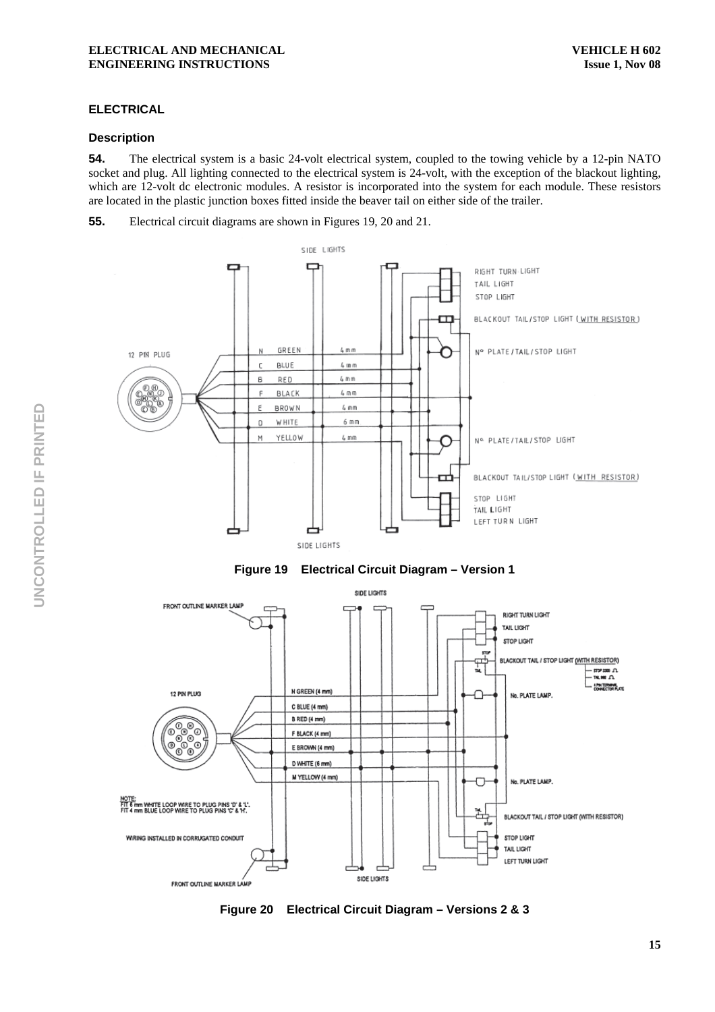# **ELECTRICAL**

#### **Description**

**54.** The electrical system is a basic 24-volt electrical system, coupled to the towing vehicle by a 12-pin NATO socket and plug. All lighting connected to the electrical system is 24-volt, with the exception of the blackout lighting, which are 12-volt dc electronic modules. A resistor is incorporated into the system for each module. These resistors are located in the plastic junction boxes fitted inside the beaver tail on either side of the trailer.

**55.** Electrical circuit diagrams are shown in Figures 19, 20 and 21.



**Figure 20 Electrical Circuit Diagram – Versions 2 & 3**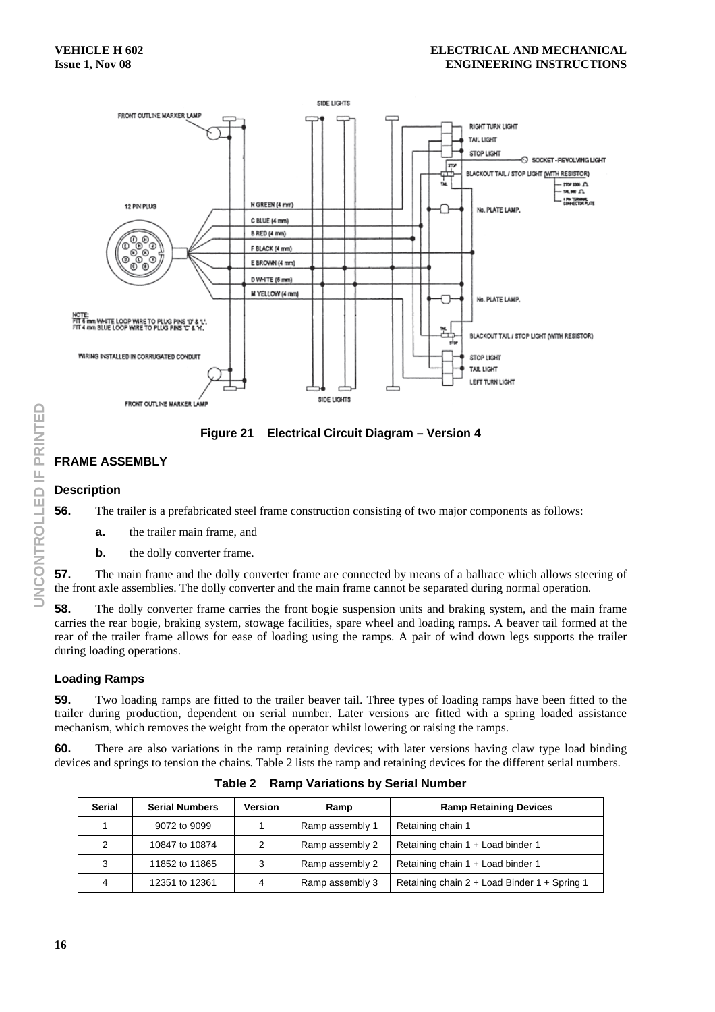

**Figure 21 Electrical Circuit Diagram – Version 4** 

# **FRAME ASSEMBLY**

# **Description**

**56.** The trailer is a prefabricated steel frame construction consisting of two major components as follows:

- **a.** the trailer main frame, and
- **b.** the dolly converter frame.

**57.** The main frame and the dolly converter frame are connected by means of a ballrace which allows steering of the front axle assemblies. The dolly converter and the main frame cannot be separated during normal operation.

**58.** The dolly converter frame carries the front bogie suspension units and braking system, and the main frame carries the rear bogie, braking system, stowage facilities, spare wheel and loading ramps. A beaver tail formed at the rear of the trailer frame allows for ease of loading using the ramps. A pair of wind down legs supports the trailer during loading operations.

# **Loading Ramps**

**59.** Two loading ramps are fitted to the trailer beaver tail. Three types of loading ramps have been fitted to the trailer during production, dependent on serial number. Later versions are fitted with a spring loaded assistance mechanism, which removes the weight from the operator whilst lowering or raising the ramps.

**60.** There are also variations in the ramp retaining devices; with later versions having claw type load binding devices and springs to tension the chains. Table 2 lists the ramp and retaining devices for the different serial numbers.

| <b>Serial</b> | <b>Serial Numbers</b> | <b>Version</b> | Ramp            | <b>Ramp Retaining Devices</b>                |
|---------------|-----------------------|----------------|-----------------|----------------------------------------------|
|               | 9072 to 9099          |                | Ramp assembly 1 | Retaining chain 1                            |
|               | 10847 to 10874        | 2              | Ramp assembly 2 | Retaining chain 1 + Load binder 1            |
| 3             | 11852 to 11865        | 3              | Ramp assembly 2 | Retaining chain 1 + Load binder 1            |
|               | 12351 to 12361        |                | Ramp assembly 3 | Retaining chain 2 + Load Binder 1 + Spring 1 |

**Table 2 Ramp Variations by Serial Number**